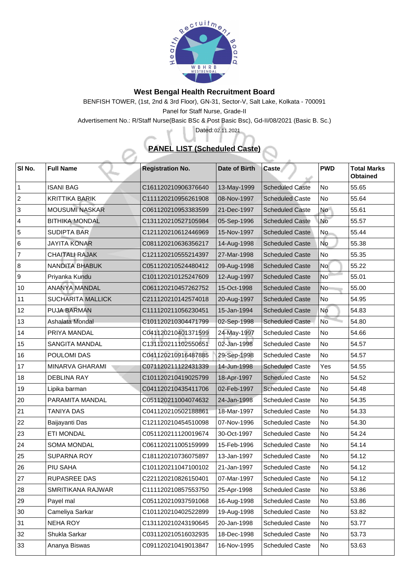

## **West Bengal Health Recruitment Board**

BENFISH TOWER, (1st, 2nd & 3rd Floor), GN-31, Sector-V, Salt Lake, Kolkata - 700091 Panel for Staff Nurse, Grade-II

Advertisement No.: R/Staff Nurse(Basic BSc & Post Basic Bsc), Gd-II/08/2021 (Basic B. Sc.)

## **PANEL LIST (Scheduled Caste)**

Dated: 02.11.2021

| $\vert$ SI No.  | <b>Full Name</b>         | <b>Registration No.</b> | Date of Birth | <b>Caste</b>           | <b>PWD</b>      | <b>Total Marks</b><br><b>Obtained</b> |
|-----------------|--------------------------|-------------------------|---------------|------------------------|-----------------|---------------------------------------|
|                 | <b>ISANI BAG</b>         | C161120210906376640     | 13-May-1999   | <b>Scheduled Caste</b> | No              | 55.65                                 |
| $ 2\rangle$     | <b>KRITTIKA BARIK</b>    | C111120210956261908     | 08-Nov-1997   | <b>Scheduled Caste</b> | No              | 55.64                                 |
| 3               | <b>MOUSUMI NASKAR</b>    | C061120210953383599     | 21-Dec-1997   | <b>Scheduled Caste</b> | <b>No</b>       | 55.61                                 |
| $ 4\rangle$     | <b>BITHIKA MONDAL</b>    | C131120210527105984     | 05-Sep-1996   | <b>Scheduled Caste</b> | <b>No</b>       | 55.57                                 |
| 5               | <b>SUDIPTA BAR</b>       | C121120210612446969     | 15-Nov-1997   | <b>Scheduled Caste</b> | <b>No</b>       | 55.44                                 |
| 6               | <b>JAYITA KONAR</b>      | C081120210636356217     | 14-Aug-1998   | <b>Scheduled Caste</b> | <b>No</b>       | 55.38                                 |
| 7               | <b>CHAITALI RAJAK</b>    | C121120210555214397     | 27-Mar-1998   | <b>Scheduled Caste</b> | No              | 55.35                                 |
| 8               | <b>NANDITA BHABUK</b>    | C051120210524480412     | 09-Aug-1998   | <b>Scheduled Caste</b> | <b>No</b>       | 55.22                                 |
| 9               | Priyanka Kundu           | C101120210125247609     | 12-Aug-1997   | <b>Scheduled Caste</b> | No <sup>-</sup> | 55.01                                 |
| $\overline{10}$ | <b>ANANYA MANDAL</b>     | C061120210457262752     | 15-Oct-1998   | <b>Scheduled Caste</b> | No              | 55.00                                 |
| 11              | <b>SUCHARITA MALLICK</b> | C211120210142574018     | 20-Aug-1997   | <b>Scheduled Caste</b> | No              | 54.95                                 |
| 12              | <b>PUJA BARMAN</b>       | C111120211056230451     | 15-Jan-1994   | <b>Scheduled Caste</b> | <b>No</b>       | 54.83                                 |
| 13              | Ashalata Mondal          | C101120210304471799     | 02-Sep-1998   | <b>Scheduled Caste</b> | <b>No</b>       | 54.80                                 |
| 14              | PRIYA MANDAL             | C041120210401371599     | 24-May-1997   | <b>Scheduled Caste</b> | No              | 54.66                                 |
| 15              | <b>SANGITA MANDAL</b>    | C131120211102550651     | 02-Jan-1998   | <b>Scheduled Caste</b> | No              | 54.57                                 |
| 16              | <b>POULOMI DAS</b>       | C041120210916487885     | 29-Sep-1998   | <b>Scheduled Caste</b> | No              | 54.57                                 |
| 17              | <b>MINARVA GHARAMI</b>   | C071120211122431339     | 14-Jun-1998   | <b>Scheduled Caste</b> | Yes             | 54.55                                 |
| 18              | <b>DEBLINA RAY</b>       | C101120210419025799     | 18-Apr-1997   | <b>Scheduled Caste</b> | No              | 54.52                                 |
| 19              | Lipika barman            | C041120210435411706     | 02-Feb-1997   | <b>Scheduled Caste</b> | No              | 54.48                                 |
| 20              | PARAMITA MANDAL          | C051120211004074632     | 24-Jan-1998   | <b>Scheduled Caste</b> | No              | 54.35                                 |
| 21              | <b>TANIYA DAS</b>        | C041120210502188861     | 18-Mar-1997   | <b>Scheduled Caste</b> | <b>No</b>       | 54.33                                 |
| $ 22\rangle$    | Baijayanti Das           | C121120210454510098     | 07-Nov-1996   | <b>Scheduled Caste</b> | <b>No</b>       | 54.30                                 |
| 23              | <b>ETI MONDAL</b>        | C051120211120019674     | 30-Oct-1997   | <b>Scheduled Caste</b> | No              | 54.24                                 |
| 24              | <b>SOMA MONDAL</b>       | C061120211005159999     | 15-Feb-1996   | <b>Scheduled Caste</b> | <b>No</b>       | 54.14                                 |
| 25              | <b>SUPARNA ROY</b>       | C181120210736075897     | 13-Jan-1997   | <b>Scheduled Caste</b> | <b>No</b>       | 54.12                                 |
| 26              | <b>PIU SAHA</b>          | C101120211047100102     | 21-Jan-1997   | <b>Scheduled Caste</b> | No              | 54.12                                 |
| 27              | <b>RUPASREE DAS</b>      | C221120210826150401     | 07-Mar-1997   | <b>Scheduled Caste</b> | No              | 54.12                                 |
| 28              | <b>SMRITIKANA RAJWAR</b> | C111120210857553750     | 25-Apr-1998   | <b>Scheduled Caste</b> | No              | 53.86                                 |
| 29              | Payel mal                | C051120210937591068     | 16-Aug-1998   | <b>Scheduled Caste</b> | No              | 53.86                                 |
| $ 30\rangle$    | <b>Cameliya Sarkar</b>   | C101120210402522899     | 19-Aug-1998   | <b>Scheduled Caste</b> | No              | 53.82                                 |
| 31              | <b>NEHA ROY</b>          | C131120210243190645     | 20-Jan-1998   | <b>Scheduled Caste</b> | No              | 53.77                                 |
| 32              | <b>Shukla Sarkar</b>     | C031120210516032935     | 18-Dec-1998   | <b>Scheduled Caste</b> | No              | 53.73                                 |
| 33              | Ananya Biswas            | C091120210419013847     | 16-Nov-1995   | <b>Scheduled Caste</b> | No              | 53.63                                 |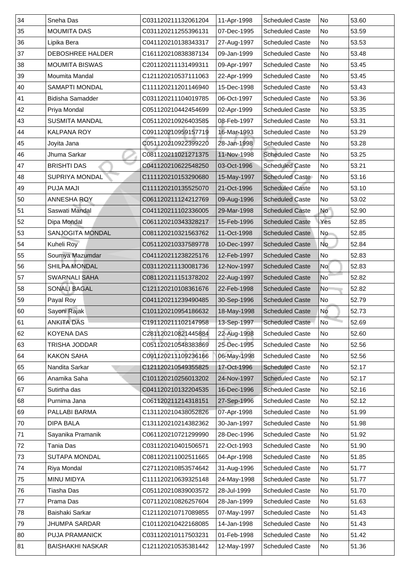| 34  | <b>Sneha Das</b>        | C031120211132061204 | 11-Apr-1998 | <b>Scheduled Caste</b> | <b>No</b>                | 53.60 |
|-----|-------------------------|---------------------|-------------|------------------------|--------------------------|-------|
| 35  | <b>MOUMITA DAS</b>      | C031120211255396131 | 07-Dec-1995 | <b>Scheduled Caste</b> | No                       | 53.59 |
| 36  | Lipika Bera             | C041120210138343317 | 27-Aug-1997 | <b>Scheduled Caste</b> | No                       | 53.53 |
| 37  | <b>DEBOSHREE HALDER</b> | C161120210838387134 | 09-Jan-1999 | <b>Scheduled Caste</b> | No                       | 53.48 |
| 38  | <b>MOUMITA BISWAS</b>   | C201120211131499311 | 09-Apr-1997 | <b>Scheduled Caste</b> | No                       | 53.45 |
| 39  | <b>Moumita Mandal</b>   | C121120210537111063 | 22-Apr-1999 | <b>Scheduled Caste</b> | No                       | 53.45 |
| 40  | <b>SAMAPTI MONDAL</b>   | C111120211201146940 | 15-Dec-1998 | <b>Scheduled Caste</b> | No                       | 53.43 |
| 41  | <b>Bidisha Samadder</b> | C031120211104019785 | 06-Oct-1997 | <b>Scheduled Caste</b> | No                       | 53.36 |
| 42  | Priya Mondal            | C051120210442454699 | 02-Apr-1999 | <b>Scheduled Caste</b> | No                       | 53.35 |
| 43  | <b>SUSMITA MANDAL</b>   | C051120210926403585 | 08-Feb-1997 | <b>Scheduled Caste</b> | No                       | 53.31 |
| 44  | <b>KALPANA ROY</b>      | C091120210959157719 | 16-Mar-1993 | <b>Scheduled Caste</b> | No                       | 53.29 |
| 45  | Joyita Jana             | C051120210922399220 | 28-Jan-1998 | <b>Scheduled Caste</b> | No                       | 53.28 |
| 46  | Jhuma Sarkar            | C081120211021271375 | 11-Nov-1998 | <b>Scheduled Caste</b> | No                       | 53.25 |
| 47  | <b>BRISHTI DAS</b>      | C041120210622548250 | 03-Oct-1996 | <b>Scheduled Caste</b> | No                       | 53.21 |
| 48  | <b>SUPRIYA MONDAL</b>   | C111120210153290680 | 15-May-1997 | <b>Scheduled Caste</b> | No                       | 53.16 |
| 49  | <b>PUJA MAJI</b>        | C111120210135525070 | 21-Oct-1996 | <b>Scheduled Caste</b> | No                       | 53.10 |
| 50  | <b>ANNESHA ROY</b>      | C061120211124212769 | 09-Aug-1996 | <b>Scheduled Caste</b> | No                       | 53.02 |
| 51  | Saswati Mandal          | C041120211102336005 | 29-Mar-1998 | <b>Scheduled Caste</b> | <b>No</b>                | 52.90 |
| 52  | Dipa Mondal             | C061120210343328217 | 15-Feb-1996 | <b>Scheduled Caste</b> | Yes                      | 52.85 |
| 53  | <b>SANJOGITA MONDAL</b> | C081120210321563762 | 11-Oct-1998 | <b>Scheduled Caste</b> | <b>No</b>                | 52.85 |
| 54  | Kuheli Roy              | C051120210337589778 | 10-Dec-1997 | <b>Scheduled Caste</b> | No                       | 52.84 |
| 55  | Soumya Mazumdar         | C041120211238225176 | 12-Feb-1997 | <b>Scheduled Caste</b> | No                       | 52.83 |
| 56  | <b>SHILPA MONDAL</b>    | C031120211130081736 | 12-Nov-1997 | <b>Scheduled Caste</b> | No                       | 52.83 |
| 57  | <b>SWARNALI SAHA</b>    | C081120211151378202 | 22-Aug-1997 | <b>Scheduled Caste</b> | $\overline{\mathsf{No}}$ | 52.82 |
| 58  | <b>SONALI BAGAL</b>     | C121120210108361676 | 22-Feb-1998 | <b>Scheduled Caste</b> | No                       | 52.82 |
| 59  | Payal Roy               | C041120211239490485 | 30-Sep-1996 | <b>Scheduled Caste</b> | No                       | 52.79 |
| 60  | Sayoni Rajak            | C101120210954186632 | 18-May-1998 | <b>Scheduled Caste</b> | No                       | 52.73 |
| 161 | <b>ANKITA DAS</b>       | C191120211102147958 | 13-Sep-1997 | <b>Scheduled Caste</b> | No                       | 52.69 |
| 62  | <b>KOYENA DAS</b>       | C281120210821445884 | 22-Aug-1998 | <b>Scheduled Caste</b> | No                       | 52.60 |
| 63  | TRISHA JODDAR           | C051120210548383869 | 25-Dec-1995 | <b>Scheduled Caste</b> | No                       | 52.56 |
| 64  | <b>KAKON SAHA</b>       | C091120211109236166 | 06-May-1998 | <b>Scheduled Caste</b> | No                       | 52.56 |
| 65  | Nandita Sarkar          | C121120210549355825 | 17-Oct-1996 | <b>Scheduled Caste</b> | No                       | 52.17 |
| 66  | Anamika Saha            | C101120210256013202 | 24-Nov-1997 | <b>Scheduled Caste</b> | No                       | 52.17 |
| 67  | Sutirtha das            | C041120210132204535 | 16-Dec-1996 | <b>Scheduled Caste</b> | No                       | 52.16 |
| 68  | Purnima Jana            | C061120211214318151 | 27-Sep-1996 | <b>Scheduled Caste</b> | No                       | 52.12 |
| 69  | <b>PALLABI BARMA</b>    | C131120210438052826 | 07-Apr-1998 | <b>Scheduled Caste</b> | No                       | 51.99 |
| 70  | <b>DIPA BALA</b>        | C131120210214382362 | 30-Jan-1997 | <b>Scheduled Caste</b> | No                       | 51.98 |
| 71  | Sayanika Pramanik       | C061120210721299990 | 28-Dec-1996 | <b>Scheduled Caste</b> | No                       | 51.92 |
| 72  | Tania Das               | C031120210401506571 | 22-Oct-1993 | <b>Scheduled Caste</b> | No                       | 51.90 |
| 73  | <b>SUTAPA MONDAL</b>    | C081120211002511665 | 04-Apr-1998 | <b>Scheduled Caste</b> | No                       | 51.85 |
| 74  | <b>Riya Mondal</b>      | C271120210853574642 | 31-Aug-1996 | <b>Scheduled Caste</b> | No                       | 51.77 |
| 75  | <b>MINU MIDYA</b>       | C111120210639325148 | 24-May-1998 | <b>Scheduled Caste</b> | No                       | 51.77 |
| 76  | Tiasha Das              | C051120210839003572 | 28-Jul-1999 | <b>Scheduled Caste</b> | No                       | 51.70 |
| 77  | Prama Das               | C071120210826257604 | 28-Jan-1999 | <b>Scheduled Caste</b> | No                       | 51.63 |
| 78  | Baishaki Sarkar         | C121120210717089855 | 07-May-1997 | <b>Scheduled Caste</b> | No                       | 51.43 |
| 79  | <b>JHUMPA SARDAR</b>    | C101120210422168085 | 14-Jan-1998 | <b>Scheduled Caste</b> | No                       | 51.43 |
| 80  | <b>PUJA PRAMANICK</b>   | C031120210117503231 | 01-Feb-1998 | <b>Scheduled Caste</b> | No                       | 51.42 |
| 81  | <b>BAISHAKHI NASKAR</b> | C121120210535381442 | 12-May-1997 | <b>Scheduled Caste</b> | No                       | 51.36 |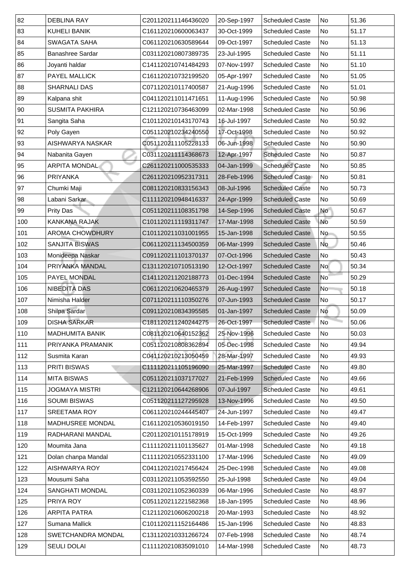| 82  |                                           |                                            |                            |                                                  |                |                |
|-----|-------------------------------------------|--------------------------------------------|----------------------------|--------------------------------------------------|----------------|----------------|
| 83  | <b>DEBLINA RAY</b><br><b>KUHELI BANIK</b> | C201120211146436020<br>C161120210600063437 | 20-Sep-1997<br>30-Oct-1999 | <b>Scheduled Caste</b><br><b>Scheduled Caste</b> | No<br>No       | 51.36<br>51.17 |
| 84  | <b>SWAGATA SAHA</b>                       | C061120210630589644                        | 09-Oct-1997                | <b>Scheduled Caste</b>                           | No             | 51.13          |
| 85  | <b>Banashree Sardar</b>                   | C031120210807389735                        | 23-Jul-1995                | <b>Scheduled Caste</b>                           | No             | 51.11          |
| 86  | Joyanti haldar                            | C141120210741484293                        | 07-Nov-1997                | <b>Scheduled Caste</b>                           | No             | 51.10          |
| 87  | <b>PAYEL MALLICK</b>                      | C161120210732199520                        | 05-Apr-1997                | <b>Scheduled Caste</b>                           | No             | 51.05          |
| 88  | <b>SHARNALI DAS</b>                       | C071120210117400587                        | 21-Aug-1996                | <b>Scheduled Caste</b>                           | No             | 51.01          |
| 89  | Kalpana shit                              | C041120211011471651                        | 11-Aug-1996                | <b>Scheduled Caste</b>                           | No             | 50.98          |
| 90  | <b>SUSMITA PAKHIRA</b>                    | C121120210736463099                        | 02-Mar-1998                | <b>Scheduled Caste</b>                           | N <sub>o</sub> | 50.96          |
| 91  | Sangita Saha                              | C101120210143170743                        | 16-Jul-1997                | <b>Scheduled Caste</b>                           | No             | 50.92          |
| 92  | Poly Gayen                                | C051120210234240550                        | 17-Oct-1998                | <b>Scheduled Caste</b>                           | No             | 50.92          |
| 93  | <b>AISHWARYA NASKAR</b>                   | C051120211105228133                        | 06-Jun-1998                | <b>Scheduled Caste</b>                           | No             | 50.90          |
| 94  | Nabanita Gayen                            | C031120211114368673                        | 12-Apr-1997                | <b>Scheduled Caste</b>                           | No             | 50.87          |
| 95  | <b>ARPITA MONDAL</b>                      | C261120211000535333                        | 04-Jan-1999                | <b>Scheduled Caste</b>                           | No             | 50.85          |
| 96  | <b>PRIYANKA</b>                           | C261120210952317311                        | 28-Feb-1996                | <b>Scheduled Caste</b>                           | No             | 50.81          |
| 97  | Chumki Maji                               | C081120210833156343                        | 08-Jul-1996                | <b>Scheduled Caste</b>                           | No             | 50.73          |
| 98  | Labani Sarkar                             | C111120210948416337                        | 24-Apr-1999                | <b>Scheduled Caste</b>                           | No             | 50.69          |
| 99  | <b>Prity Das</b>                          | C051120211108351798                        | 14-Sep-1996                | <b>Scheduled Caste</b>                           | <b>No</b>      | 50.67          |
| 100 | <b>KANKANA RAJAK</b>                      | C101120211119311747                        | 17-Mar-1998                | <b>Scheduled Caste</b>                           | No             | 50.59          |
| 101 | <b>AROMA CHOWDHURY</b>                    | C101120211031001955                        | 15-Jan-1998                | <b>Scheduled Caste</b>                           | No             | 50.55          |
| 102 | <b>SANJITA BISWAS</b>                     | C061120211134500359                        | 06-Mar-1999                | <b>Scheduled Caste</b>                           | No             | 50.46          |
| 103 | Monideepa Naskar                          | C091120211101370137                        | 07-Oct-1996                | <b>Scheduled Caste</b>                           | No             | 50.43          |
| 104 | <b>PRIYANKA MANDAL</b>                    | C131120210710513190                        | 12-Oct-1997                | <b>Scheduled Caste</b>                           | <b>No</b>      | 50.34          |
| 105 | <b>PAYEL MONDAL</b>                       | C141120211202188773                        | 01-Dec-1994                | <b>Scheduled Caste</b>                           | No             | 50.29          |
| 106 | <b>NIBEDITA DAS</b>                       | C061120210620465379                        | 26-Aug-1997                | <b>Scheduled Caste</b>                           | N <sub>o</sub> | 50.18          |
| 107 | Nimisha Halder                            | C071120211110350276                        | 07-Jun-1993                | <b>Scheduled Caste</b>                           | No             | 50.17          |
| 108 | Shilpa Sardar                             | C091120210834395585                        | 01-Jan-1997                | <b>Scheduled Caste</b>                           | <b>No</b>      | 50.09          |
| 109 | <b>DISHA SARKAR</b>                       | C181120211240244275                        | 26-Oct-1997                | <b>Scheduled Caste</b>                           | No             | 50.06          |
| 110 | <b>MADHUMITA BANIK</b>                    | C081120210640152362                        | 25-Nov-1996                | <b>Scheduled Caste</b>                           | No             | 50.03          |
| 111 | PRIYANKA PRAMANIK                         | C051120210808362894                        | 05-Dec-1998                | <b>Scheduled Caste</b>                           | No             | 49.94          |
| 112 | Susmita Karan                             | C041120210213050459                        | 28-Mar-1997                | <b>Scheduled Caste</b>                           | No             | 49.93          |
| 113 | <b>PRITI BISWAS</b>                       | C111120211105196090                        | 25-Mar-1997                | <b>Scheduled Caste</b>                           | No             | 49.80          |
|     |                                           |                                            |                            |                                                  |                |                |
| 114 | <b>MITA BISWAS</b>                        | C051120211037177027                        | 21-Feb-1999                | <b>Scheduled Caste</b>                           | No             | 49.66          |
| 115 | <b>JOGMAYA MISTRI</b>                     | C121120210644268906                        | 07-Jul-1997                | <b>Scheduled Caste</b>                           | No             | 49.61          |
| 116 | <b>SOUMI BISWAS</b>                       | C051120211127295928                        | 13-Nov-1996                | <b>Scheduled Caste</b>                           | No             | 49.50          |
| 117 | <b>SREETAMA ROY</b>                       | C061120210244445407                        | 24-Jun-1997                | <b>Scheduled Caste</b>                           | No             | 49.47          |
| 118 | <b>MADHUSREE MONDAL</b>                   | C161120210536019150                        | 14-Feb-1997                | <b>Scheduled Caste</b>                           | No             | 49.40          |
| 119 | RADHARANI MANDAL                          | C201120210115178919                        | 15-Oct-1999                | <b>Scheduled Caste</b>                           | No             | 49.26          |
| 120 | Moumita Jana                              | C111120211101135627                        | 01-Mar-1998                | <b>Scheduled Caste</b>                           | No             | 49.18          |
| 121 | Dolan chanpa Mandal                       | C111120210552331100                        | 17-Mar-1996                | <b>Scheduled Caste</b>                           | No             | 49.09          |
| 122 | <b>AISHWARYA ROY</b>                      | C041120210217456424                        | 25-Dec-1998                | <b>Scheduled Caste</b>                           | No             | 49.08          |
| 123 | Mousumi Saha                              | C031120211053592550                        | 25-Jul-1998                | <b>Scheduled Caste</b>                           | No             | 49.04          |
| 124 | <b>SANGHATI MONDAL</b>                    | C031120211052360339                        | 06-Mar-1996                | <b>Scheduled Caste</b>                           | No             | 48.97          |
| 125 | PRIYA ROY                                 | C051120211221582368                        | 18-Jan-1995                | <b>Scheduled Caste</b>                           | No             | 48.96          |
| 126 | ARPITA PATRA                              | C121120210606200218                        | 20-Mar-1993                | <b>Scheduled Caste</b>                           | No             | 48.92          |
| 127 | Sumana Mallick                            | C101120211152164486                        | 15-Jan-1996                | <b>Scheduled Caste</b>                           | No             | 48.83          |
| 128 | <b>SWETCHANDRA MONDAL</b>                 | C131120210331266724                        | 07-Feb-1998                | <b>Scheduled Caste</b>                           | No             | 48.74          |
| 129 | <b>SEULI DOLAI</b>                        | C111120210835091010                        | 14-Mar-1998                | <b>Scheduled Caste</b>                           | No             | 48.73          |